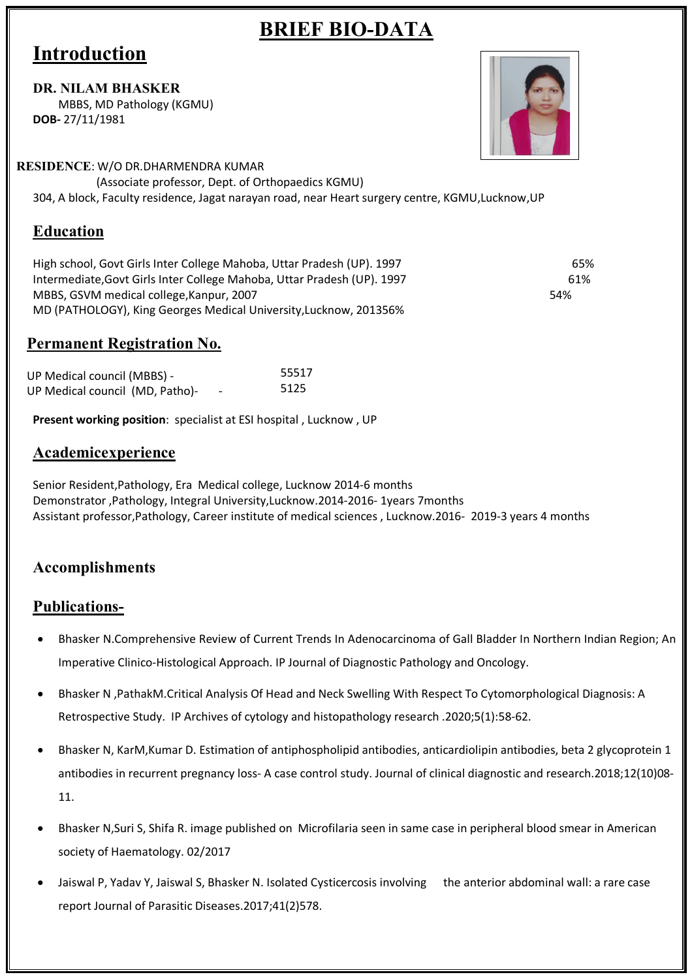## **BRIEF BIO-DATA**

# **Introduction**

#### **DR. NILAM BHASKER**

MBBS, MD Pathology (KGMU) **DOB-** 27/11/1981

#### **RESIDENCE**: W/O DR.DHARMENDRA KUMAR

(Associate professor, Dept. of Orthopaedics KGMU)

304, A block, Faculty residence, Jagat narayan road, near Heart surgery centre, KGMU,Lucknow,UP

## **Education**

High school, Govt Girls Inter College Mahoba, Uttar Pradesh (UP). 1997 65% Intermediate,Govt Girls Inter College Mahoba, Uttar Pradesh (UP). 1997 61% MBBS, GSVM medical college,Kanpur, 2007 54% 54% 54% MD (PATHOLOGY), King Georges Medical University,Lucknow, 201356%

#### **Permanent Registration No.**

| UP Medical council (MBBS) -     |                          | 55517 |
|---------------------------------|--------------------------|-------|
| UP Medical council (MD, Patho)- | $\overline{\phantom{0}}$ | 5125  |

**Present working position**: specialist at ESI hospital , Lucknow , UP

#### **Academicexperience**

Senior Resident,Pathology, Era Medical college, Lucknow 2014-6 months Demonstrator ,Pathology, Integral University,Lucknow.2014-2016- 1years 7months Assistant professor,Pathology, Career institute of medical sciences , Lucknow.2016- 2019-3 years 4 months

### **Accomplishments**

#### **Publications-**

- Bhasker N.Comprehensive Review of Current Trends In Adenocarcinoma of Gall Bladder In Northern Indian Region; An Imperative Clinico-Histological Approach. IP Journal of Diagnostic Pathology and Oncology.
- Bhasker N ,PathakM.Critical Analysis Of Head and Neck Swelling With Respect To Cytomorphological Diagnosis: A Retrospective Study. IP Archives of cytology and histopathology research .2020;5(1):58-62.
- Bhasker N, KarM,Kumar D. Estimation of antiphospholipid antibodies, anticardiolipin antibodies, beta 2 glycoprotein 1 antibodies in recurrent pregnancy loss- A case control study. Journal of clinical diagnostic and research.2018;12(10)08- 11.
- Bhasker N,Suri S, Shifa R. image published on Microfilaria seen in same case in peripheral blood smear in American society of Haematology. 02/2017
- Jaiswal P, Yadav Y, Jaiswal S, Bhasker N. Isolated Cysticercosis involving the anterior abdominal wall: a rare case report Journal of Parasitic Diseases.2017;41(2)578.